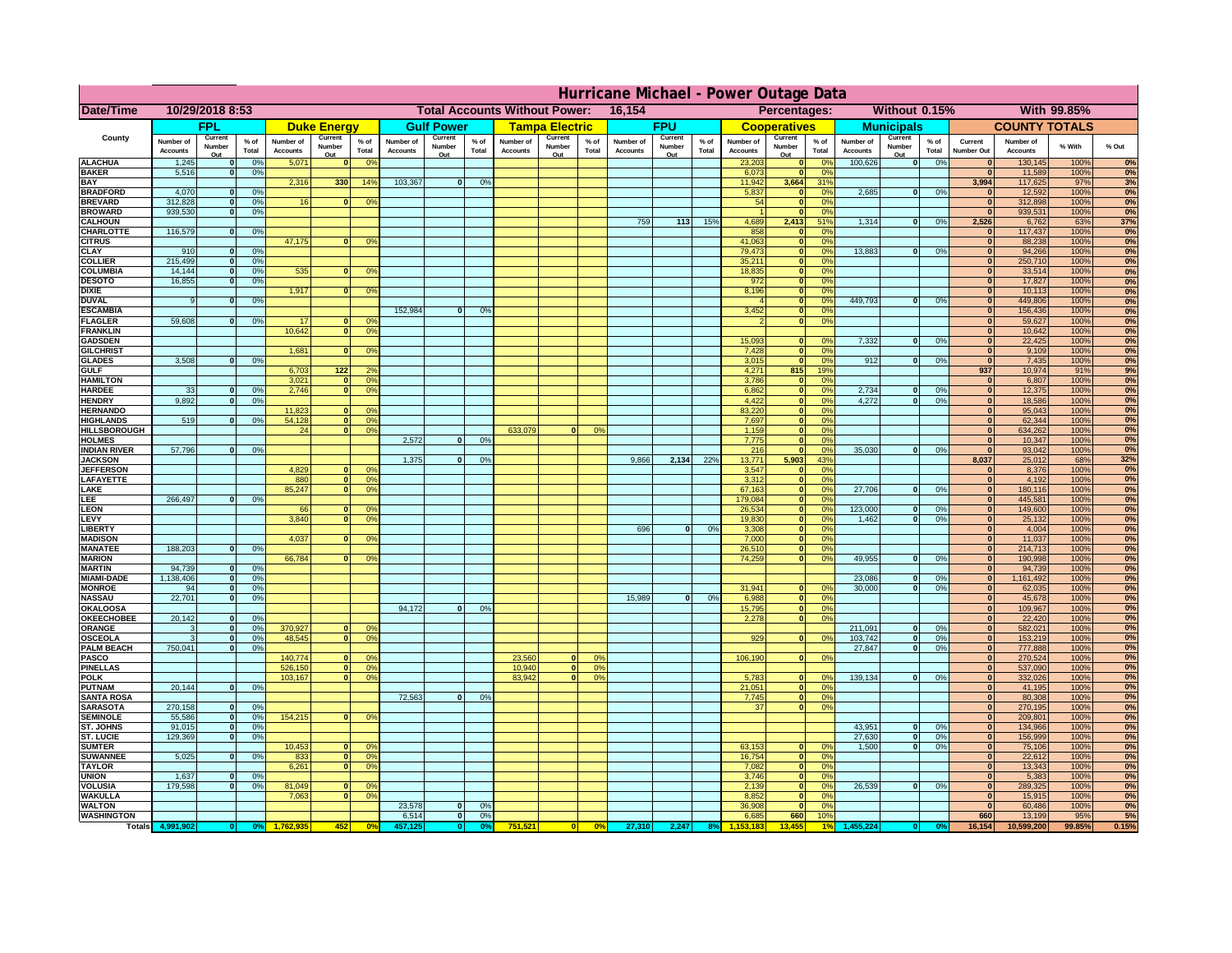|                                       | Hurricane Michael - Power Outage Data |                              |                      |                              |                                                |                                                  |                              |                    |                 |                                              |                       |                 |                       |                   |                 |                              |                              |                                  |                              |                    |                 |                                |                              |              |                  |
|---------------------------------------|---------------------------------------|------------------------------|----------------------|------------------------------|------------------------------------------------|--------------------------------------------------|------------------------------|--------------------|-----------------|----------------------------------------------|-----------------------|-----------------|-----------------------|-------------------|-----------------|------------------------------|------------------------------|----------------------------------|------------------------------|--------------------|-----------------|--------------------------------|------------------------------|--------------|------------------|
| Date/Time                             | 10/29/2018 8:53                       |                              |                      |                              | <b>Total Accounts Without Power:</b><br>16,154 |                                                  |                              |                    |                 | Without 0.15%<br>With 99.85%<br>Percentages: |                       |                 |                       |                   |                 |                              |                              |                                  |                              |                    |                 |                                |                              |              |                  |
|                                       |                                       | FPL                          |                      |                              | <b>Duke Energy</b>                             |                                                  |                              | <b>Gulf Power</b>  |                 |                                              | <b>Tampa Electric</b> |                 |                       | <b>FPU</b>        |                 |                              | <b>Cooperatives</b>          |                                  |                              | <b>Municipals</b>  |                 |                                | <b>COUNTY TOTALS</b>         |              |                  |
| County                                | Number of<br><b>Accounts</b>          | Current<br>Number            | $%$ of<br>Total      | Number of<br><b>Accounts</b> | Current<br>Number                              | $%$ of<br>Total                                  | Number of<br><b>Accounts</b> | Current<br>Number  | $%$ of<br>Total | Number of<br><b>Accounts</b>                 | Current<br>Number     | $%$ of<br>Total | Number of<br>Accounts | Current<br>Number | $%$ of<br>Total | Number of<br><b>Accounts</b> | Current<br>Number            | $%$ of<br>Total                  | Number of<br><b>Accounts</b> | Current<br>Number  | $%$ of<br>Total | Current<br><b>Number Out</b>   | Number of<br><b>Accounts</b> | % With       | % Out            |
| <b>ALACHUA</b>                        | 1,245                                 | Out<br>$\mathbf{0}$          | 0%                   | 5,071                        | Out<br>$\bf{0}$                                | 0 <sup>9</sup>                                   |                              | Out                |                 |                                              | Out                   |                 |                       | Out               |                 | 23,203                       | Out<br>$\mathbf{0}$          | $\Omega$ <sup>c</sup>            | 100,626                      | Out<br> 0          | 0%              | $\bf{0}$                       | 130,145                      | 100%         | 0%               |
| <b>BAKER</b>                          | 5,516                                 | $\mathbf{0}$                 | 0%                   |                              |                                                |                                                  |                              |                    |                 |                                              |                       |                 |                       |                   |                 | 6,073                        | $\mathbf{0}$                 | 0 <sup>9</sup>                   |                              |                    |                 | $\bf{0}$                       | 11,589                       | 100%         | 0%               |
| <b>BAY</b><br><b>BRADFORD</b>         | 4,070                                 | $\mathbf{0}$                 | 0%                   | 2,316                        | 330                                            | 14%                                              | 103,367                      | $\overline{0}$     | 0%              |                                              |                       |                 |                       |                   |                 | 11,942<br>5,837              | 3,664<br>$\mathbf{0}$        | 31%<br>0 <sup>9</sup>            | 2,685                        | 0                  | 0%              | 3,994<br>$\bf{0}$              | 117,625<br>12,592            | 97%<br>100%  | 3%<br>0%         |
| <b>BREVARD</b>                        | 312,828                               | $\mathbf{0}$                 | 0%                   | 16                           | $\mathbf{0}$                                   | 0 <sup>o</sup>                                   |                              |                    |                 |                                              |                       |                 |                       |                   |                 | 54                           | $\mathbf{0}$                 | 0 <sup>9</sup>                   |                              |                    |                 | $\bf{0}$                       | 312,898                      | 100%         | 0%               |
| <b>BROWARD</b>                        | 939.530                               | $\Omega$                     | 0%                   |                              |                                                |                                                  |                              |                    |                 |                                              |                       |                 |                       |                   |                 |                              | $\Omega$                     | 0 <sup>9</sup>                   |                              |                    |                 | $\bf{0}$                       | 939,531                      | 100%         | 0%               |
| <b>CALHOUN</b><br>CHARLOTTE           | 116,579                               | $\mathbf{0}$                 | 0%                   |                              |                                                |                                                  |                              |                    |                 |                                              |                       |                 | 759                   | 113               | 15%             | 4,689<br>858                 | 2,413                        | 51%<br>$\Omega$ <sup>c</sup>     | 1,314                        | 0                  | 0%              | 2,526<br>$\mathbf 0$           | 6,762<br>117,437             | 63%<br>100%  | <b>37%</b><br>0% |
| <b>CITRUS</b>                         |                                       |                              |                      | 47,175                       | $\mathbf{0}$                                   | 0 <sup>o</sup>                                   |                              |                    |                 |                                              |                       |                 |                       |                   |                 | 41,063                       | $\mathbf{0}$                 | $\Omega$ <sup>c</sup>            |                              |                    |                 | $\bf{0}$                       | 88,238                       | 100%         | 0%               |
| <b>CLAY</b>                           | 910                                   | $\mathbf{0}$                 | 0%                   |                              |                                                |                                                  |                              |                    |                 |                                              |                       |                 |                       |                   |                 | 79,473                       | $\mathbf{0}$                 | 0 <sup>9</sup>                   | 13,883                       | $\Omega$           | 0%              | $\mathbf{0}$                   | 94,266                       | 100%         | 0%               |
| <b>COLLIER</b><br><b>COLUMBIA</b>     | 215,499<br>14,144                     | $\mathbf{0}$<br>$\mathbf{0}$ | 0 <sup>9</sup><br>0% | 535                          | $\bf{0}$                                       | 0 <sup>9</sup>                                   |                              |                    |                 |                                              |                       |                 |                       |                   |                 | 35,211<br>18,835             | $\mathbf{0}$<br>$\mathbf{0}$ | 0 <sup>9</sup><br>0 <sup>9</sup> |                              |                    |                 | $\mathbf{0}$<br>$\mathbf{0}$   | 250,710<br>33,514            | 100%<br>100% | 0%<br>0%         |
| <b>DESOTO</b>                         | 16,855                                | $\mathbf{0}$                 | 0%                   |                              |                                                |                                                  |                              |                    |                 |                                              |                       |                 |                       |                   |                 | 972                          | $\mathbf{0}$                 | 0 <sup>9</sup>                   |                              |                    |                 | $\bf{0}$                       | 17,827                       | 100%         | 0%               |
| <b>DIXIE</b><br><b>DUVAL</b>          | 9                                     | $\Omega$                     | 0%                   | 1,917                        | $\Omega$                                       | 0 <sup>9</sup>                                   |                              |                    |                 |                                              |                       |                 |                       |                   |                 | 8,196                        | $\mathbf{0}$<br>$\mathbf{0}$ | 0 <sup>9</sup><br>0 <sup>9</sup> | 449.793                      | $\mathbf{0}$       | 0%              | $\bf{0}$<br>$\bf{0}$           | 10,113<br>449,806            | 100%<br>100% | 0%<br>0%         |
| <b>ESCAMBIA</b>                       |                                       |                              |                      |                              |                                                |                                                  | 152,984                      | 0                  | 0%              |                                              |                       |                 |                       |                   |                 | 3,452                        | $\mathbf{0}$                 | 0%                               |                              |                    |                 | $\mathbf{0}$                   | 156,436                      | 100%         | 0%               |
| <b>FLAGLER</b>                        | 59,608                                | $\Omega$                     | 0%                   | 17                           |                                                | 0°                                               |                              |                    |                 |                                              |                       |                 |                       |                   |                 |                              | $\mathbf{0}$                 | 0%                               |                              |                    |                 | $\mathbf{0}$                   | 59,627                       | 100%         | 0%               |
| <b>FRANKLIN</b><br><b>GADSDEN</b>     |                                       |                              |                      | 10,642                       | 0                                              | 0 <sup>9</sup>                                   |                              |                    |                 |                                              |                       |                 |                       |                   |                 | 15,093                       | $\mathbf{0}$                 | 0 <sup>9</sup>                   | 7,332                        | 0                  | 0%              | $\mathbf{0}$<br>$\overline{0}$ | 10,642<br>22,425             | 100%<br>100% | 0%<br>0%         |
| <b>GILCHRIST</b>                      |                                       |                              |                      | 1,681                        | $\mathbf{0}$                                   | 0 <sup>9</sup>                                   |                              |                    |                 |                                              |                       |                 |                       |                   |                 | 7,428                        | ō                            | 0%                               |                              |                    |                 | $\overline{0}$                 | 9,109                        | 100%         | 0%               |
| <b>GLADES</b>                         | 3,508                                 | nl                           | 0%                   |                              |                                                |                                                  |                              |                    |                 |                                              |                       |                 |                       |                   |                 | 3,015                        | $\Omega$                     | 0%                               | 912                          | $\overline{0}$     | 0%              | $\overline{0}$                 | 7,435                        | 100%         | 0%               |
| <b>GULF</b><br><b>HAMILTON</b>        |                                       |                              |                      | 6,703<br>3,021               | $122$<br>$\Omega$                              | 2 <sup>o</sup><br>0 <sup>9</sup>                 |                              |                    |                 |                                              |                       |                 |                       |                   |                 | 4,271<br>3,786               | 815<br>$\mathbf{0}$          | 19%<br>0%                        |                              |                    |                 | 937<br>$\mathbf{0}$            | 10,974<br>6,807              | 91%<br>100%  | 9%<br>0%         |
| <b>HARDEE</b>                         | 33                                    | $\mathbf{0}$                 | 0%                   | 2.746                        | n l                                            | 0 <sup>9</sup>                                   |                              |                    |                 |                                              |                       |                 |                       |                   |                 | 6,862                        | $\overline{0}$               | 0%                               | 2,734                        | $\mathbf{0}$       | 0%              | 0                              | 12,375                       | 100%         | 0%               |
| <b>HENDRY</b>                         | 9,892                                 | $\Omega$                     | 0%                   |                              |                                                |                                                  |                              |                    |                 |                                              |                       |                 |                       |                   |                 | 4,422                        | $\Omega$                     | 0%                               | 4,272                        | $\mathbf{0}$       | 0%              | 0                              | 18,586                       | 100%         | 0%               |
| <b>HERNANDO</b><br><b>HIGHLANDS</b>   | 519                                   | $\Omega$                     | 0%                   | 11,823<br>54,128             |                                                | 0 <sup>9</sup><br>$\mathbf{0}$<br>0 <sup>9</sup> |                              |                    |                 |                                              |                       |                 |                       |                   |                 | 83,220<br>7,697              | $\mathbf{0}$<br>$\mathbf{0}$ | 0%<br>0%                         |                              |                    |                 | 0 <br>$\mathbf{0}$             | 95,043<br>62,344             | 100%<br>100% | 0%<br>0%         |
| <b>HILLSBOROUGH</b>                   |                                       |                              |                      | 24                           | 0                                              | 0 <sup>9</sup>                                   |                              |                    |                 | 633,079                                      | $\Omega$              | 0%              |                       |                   |                 | 1,159                        | $\mathbf{0}$                 | 0%                               |                              |                    |                 | $\mathbf{0}$                   | 634,262                      | 100%         | 0%               |
| <b>HOLMES</b>                         |                                       |                              |                      |                              |                                                |                                                  | 2,572                        | $\Omega$           | 0%              |                                              |                       |                 |                       |                   |                 | 7,775                        | $\mathbf{0}$                 | 0 <sup>9</sup>                   |                              |                    |                 | $\mathbf{0}$                   | 10,347                       | 100%         | 0%               |
| <b>INDIAN RIVER</b><br><b>JACKSON</b> | 57,796                                | 0I                           | 0%                   |                              |                                                |                                                  | 1.375                        | $\Omega$           | 0%              |                                              |                       |                 | 9.866                 | 2.134             | 22%             | 216<br>13.771                | $\mathbf{0}$<br>5.903        | 0%<br>43%                        | 35,030                       | $\mathbf{0}$       | 0%              | $\mathbf{0}$<br>8.037          | 93,042<br>25,012             | 100%<br>68%  | 0%<br>32%        |
| <b>JEFFERSON</b>                      |                                       |                              |                      | 4.829                        | $\Omega$                                       | 0 <sup>9</sup>                                   |                              |                    |                 |                                              |                       |                 |                       |                   |                 | 3,547                        | $\Omega$                     | 0%                               |                              |                    |                 | $\mathbf{0}$                   | 8,376                        | 100%         | 0%               |
| LAFAYETTE                             |                                       |                              |                      | 880                          |                                                | $\overline{0}$<br>0%                             |                              |                    |                 |                                              |                       |                 |                       |                   |                 | 3.312                        | $\mathbf{0}$                 | 0%                               |                              |                    |                 | 0                              | 4.192                        | 100%         | 0%               |
| LAKE<br>EE.                           | 266,497                               |                              | 0%                   | 85,247                       | $\mathbf{0}$                                   | 0 <sup>9</sup>                                   |                              |                    |                 |                                              |                       |                 |                       |                   |                 | 67,163<br>179,084            | $\Omega$                     | 0%<br>0%                         | 27,706                       | n l                | 0%              | 0 <br> 0                       | 180,116<br>445,581           | 100%<br>100% | 0%<br>0%         |
| LEON                                  |                                       |                              |                      | 66                           | $\mathbf{0}$                                   | 0 <sup>o</sup>                                   |                              |                    |                 |                                              |                       |                 |                       |                   |                 | 26,534                       |                              | 0%                               | 123,000                      | $\bf{0}$           | 0%              | 0                              | 149,600                      | 100%         | 0%               |
| LEVY                                  |                                       |                              |                      | 3,840                        | $\Omega$                                       | 0 <sup>9</sup>                                   |                              |                    |                 |                                              |                       |                 |                       |                   |                 | 19,830                       |                              | 0%                               | 1,462                        | $\Omega$           | 0%              | 0                              | 25,132                       | 100%         | 0%               |
| <b>LIBERT</b><br><b>MADISON</b>       |                                       |                              |                      | 4,037                        |                                                | 0 <sup>9</sup>                                   |                              |                    |                 |                                              |                       |                 | 696                   | 0                 | 0%              | 3,308<br>7,000               |                              | 0%<br>0%                         |                              |                    |                 | 0 <br> 0                       | 4,004<br>11,037              | 100%<br>100% | 0%<br>0%         |
| <b>MANATEE</b>                        | 188,203                               | $\mathbf{0}$                 | 0%                   |                              |                                                |                                                  |                              |                    |                 |                                              |                       |                 |                       |                   |                 | 26,510                       |                              | 0%                               |                              |                    |                 | 0                              | 214,713                      | 100%         | 0%               |
| <b>MARION</b>                         |                                       |                              |                      | 66,784                       |                                                | 0 <sup>9</sup>                                   |                              |                    |                 |                                              |                       |                 |                       |                   |                 | 74,259                       | $\Omega$                     | 0%                               | 49,955                       | $\Omega$           | 0%              | 0                              | 190,998                      | 100%         | 0%               |
| <b>MARTIN</b><br><b>MIAMI-DADE</b>    | 94,739<br>1,138,406                   | 0 <br> 0                     | 0%<br>0%             |                              |                                                |                                                  |                              |                    |                 |                                              |                       |                 |                       |                   |                 |                              |                              |                                  | 23,086                       | $\Omega$           | 0%              | 0                              | 94,739                       | 100%         | 0%<br>0%         |
| <b>MONROE</b>                         | 94                                    | 0                            | 0%                   |                              |                                                |                                                  |                              |                    |                 |                                              |                       |                 |                       |                   |                 | 31,941                       |                              | 0 <sup>9</sup>                   | 30,000                       | $\Omega$           | 0%              | 0 <br> 0                       | 1,161,492<br>62,035          | 100%<br>100% | 0%               |
| <b>NASSAU</b>                         | 22,701                                | 0                            | 0%                   |                              |                                                |                                                  |                              |                    |                 |                                              |                       |                 | 15,989                | 0                 | 0%              | 6,988                        | $\mathbf{0}$                 | 0 <sup>9</sup>                   |                              |                    |                 | $\mathbf{0}$                   | 45,678                       | 100%         | 0%               |
| OKALOOSA<br><b>OKEECHOBEE</b>         | 20,142                                |                              | 0%                   |                              |                                                |                                                  | 94,172                       | $\mathbf{0}$       | 0%              |                                              |                       |                 |                       |                   |                 | 15,795                       | 0                            | 0%<br>0%                         |                              |                    |                 | $\mathbf{0}$<br>$\mathbf{0}$   | 109,967                      | 100%         | 0%<br>0%         |
| ORANGE                                | 3                                     | 0 <br> 0                     | 0%                   | 370,927                      | $\mathbf{0}$                                   | 0 <sup>o</sup>                                   |                              |                    |                 |                                              |                       |                 |                       |                   |                 | 2,278                        | 0                            |                                  | 211,091                      | $\mathbf{0}$       | 0%              | $\mathbf{0}$                   | 22,420<br>582,021            | 100%<br>100% | 0%               |
| <b>OSCEOLA</b>                        | 3                                     | 0                            | 0%                   | 48,545                       | $\Omega$                                       | 0 <sup>9</sup>                                   |                              |                    |                 |                                              |                       |                 |                       |                   |                 | 929                          | $\Omega$                     | 0 <sup>9</sup>                   | 103,742                      | 0                  | 0%              | 0                              | 153,219                      | 100%         | 0%               |
| <b>PALM BEACH</b><br><b>PASCO</b>     | 750,041                               | 0                            | 0%                   | 140,774                      | $\mathbf{0}$                                   | 0 <sup>9</sup>                                   |                              |                    |                 | 23,560                                       | $\Omega$              | 0 <sup>9</sup>  |                       |                   |                 | 106,190                      | 0                            | 0 <sup>9</sup>                   | 27,847                       | $\mathbf{0}$       | 0%              | $\mathbf{0}$<br>$\mathbf{0}$   | 777,888<br>270,524           | 100%<br>100% | 0%<br>0%         |
| <b>PINELLAS</b>                       |                                       |                              |                      | 526,150                      |                                                | 0 <sup>9</sup><br> 0                             |                              |                    |                 | 10,940                                       | 0                     | 0%              |                       |                   |                 |                              |                              |                                  |                              |                    |                 | $\mathbf{0}$                   | 537,090                      | 100%         | 0%               |
| <b>POLK</b>                           |                                       |                              |                      | 103,167                      | 0                                              | 0 <sup>9</sup>                                   |                              |                    |                 | 83,942                                       | 0                     | 0%              |                       |                   |                 | 5,783                        | $\Omega$                     | no                               | 139,134                      | 0                  | 0%              | $\mathbf{0}$                   | 332,026                      | 100%         | 0%               |
| <b>PUTNAM</b><br><b>SANTA ROSA</b>    | 20,144                                | 0                            | 0%                   |                              |                                                |                                                  | 72,563                       | 0                  | 0%              |                                              |                       |                 |                       |                   |                 | 21,051<br>7,745              | $\mathbf{0}$<br> 0           | 0 <sup>9</sup><br>0%             |                              |                    |                 | $\mathbf{0}$<br>$\mathbf{0}$   | 41,195<br>80,308             | 100%<br>100% | 0%<br>0%         |
| <b>SARASOTA</b>                       | 270,158                               | 0                            | 0%                   |                              |                                                |                                                  |                              |                    |                 |                                              |                       |                 |                       |                   |                 | 37                           | $\overline{0}$               | 0%                               |                              |                    |                 | $\mathbf{0}$                   | 270,195                      | 100%         | 0%               |
| <b>SEMINOLE</b>                       | 55,586                                | 0                            | 0%                   | 154,215                      |                                                | $\mathbf{0}$<br>0 <sup>9</sup>                   |                              |                    |                 |                                              |                       |                 |                       |                   |                 |                              |                              |                                  |                              |                    |                 | $\mathbf{0}$                   | 209,801                      | 100%         | 0%               |
| <b>ST. JOHNS</b><br><b>ST. LUCIE</b>  | 91,015<br>129.369                     | 0<br>$\mathbf{0}$            | 0%<br>0%             |                              |                                                |                                                  |                              |                    |                 |                                              |                       |                 |                       |                   |                 |                              |                              |                                  | 43,951<br>27,630             | 0 <br>$\mathbf{0}$ | 0%<br>0%        | $\mathbf{0}$<br> 0             | 134,966<br>156.999           | 100%<br>100% | 0%<br>0%         |
| <b>SUMTER</b>                         |                                       |                              |                      | 10,453                       |                                                | $\mathbf{0}$<br>0 <sup>9</sup>                   |                              |                    |                 |                                              |                       |                 |                       |                   |                 | 63,153                       | $\mathbf{0}$                 | 0 <sup>o</sup>                   | 1.500                        | $\overline{0}$     | 0%              | $\mathbf{0}$                   | 75,106                       | 100%         | 0%               |
| <b>SUWANNEE</b>                       | 5,025                                 | $\Omega$                     | 0%                   | 833                          | 0                                              | 0 <sup>9</sup>                                   |                              |                    |                 |                                              |                       |                 |                       |                   |                 | 16,754                       | $\mathbf{0}$                 | 0 <sup>9</sup>                   |                              |                    |                 | $\mathbf{0}$                   | 22,612                       | 100%         | 0%               |
| <b>TAYLOR</b><br><b>UNION</b>         | 1,637                                 | $\mathbf{0}$                 | 0%                   | 6,261                        | 0                                              | 0 <sup>9</sup>                                   |                              |                    |                 |                                              |                       |                 |                       |                   |                 | 7,082<br>3,746               | $\mathbf{0}$<br>$\mathbf{0}$ | 0%<br>0 <sup>9</sup>             |                              |                    |                 | $\mathbf{0}$<br>$\mathbf{0}$   | 13,343<br>5,383              | 100%<br>100% | 0%<br>0%         |
| <b>VOLUSIA</b>                        | 179,598                               | $\mathbf{0}$                 | 0%                   | 81,049                       | $\bf{0}$                                       | 0 <sup>9</sup>                                   |                              |                    |                 |                                              |                       |                 |                       |                   |                 | 2,139                        | $\mathbf{0}$                 | 0 <sup>9</sup>                   | 26,539                       | 0                  | 0%              | $\mathbf{0}$                   | 289,325                      | 100%         | 0%               |
| <b>WAKULLA</b>                        |                                       |                              |                      | 7,063                        | $\bf{0}$                                       | 0 <sup>9</sup>                                   |                              |                    |                 |                                              |                       |                 |                       |                   |                 | 8,852                        | $\mathbf{0}$                 | 0 <sup>9</sup>                   |                              |                    |                 | $\mathbf{0}$                   | 15,915                       | 100%         | 0%               |
| <b>WALTON</b><br><b>WASHINGTON</b>    |                                       |                              |                      |                              |                                                |                                                  | 23,578<br>6,514              | $\mathbf{0}$<br> 0 | 0%<br>0%        |                                              |                       |                 |                       |                   |                 | 36,908<br>6,685              | $\mathbf{0}$<br>660          | 0 <sup>9</sup><br>10%            |                              |                    |                 | $\mathbf{0}$<br>660            | 60,486<br>13,199             | 100%<br>95%  | 0%<br>5%         |
| <b>Totals</b>                         |                                       |                              |                      |                              | 452                                            |                                                  |                              | $\mathbf{0}$       | 0°              | 751,521                                      |                       | 0%              | 27,310                | 2,247             |                 |                              | 13.455                       |                                  |                              |                    |                 | 16,154                         | 10,599,200                   | 99.85%       | 0.15%            |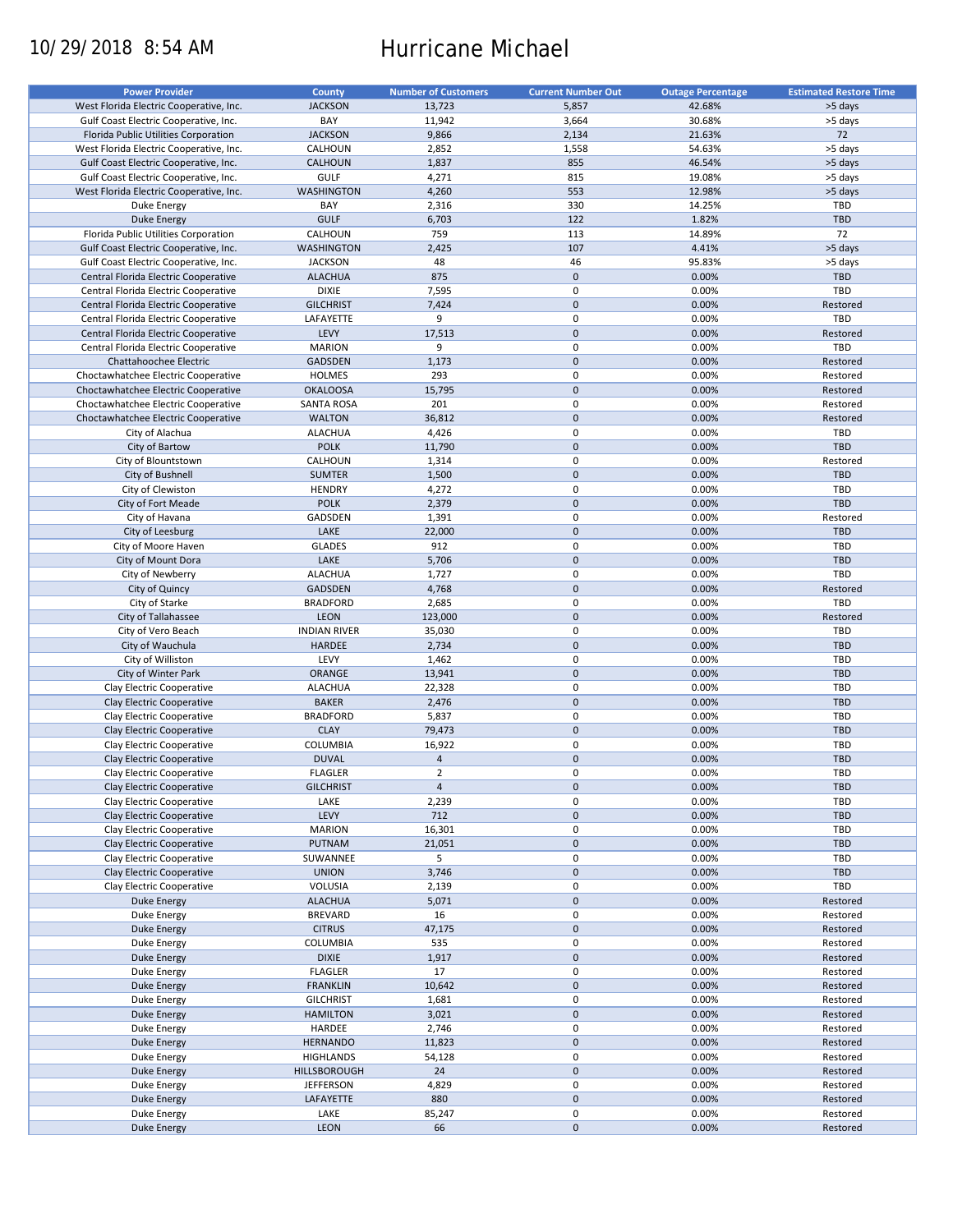# 10/29/2018 8:54 AM Hurricane Michael

| <b>Power Provider</b>                   | <b>County</b>       | <b>Number of Customers</b> | <b>Current Number Out</b> | <b>Outage Percentage</b> | <b>Estimated Restore Time</b> |
|-----------------------------------------|---------------------|----------------------------|---------------------------|--------------------------|-------------------------------|
| West Florida Electric Cooperative, Inc. | <b>JACKSON</b>      | 13,723                     | 5,857                     | 42.68%                   | >5 days                       |
|                                         | BAY                 | 11,942                     | 3,664                     | 30.68%                   | >5 days                       |
| Gulf Coast Electric Cooperative, Inc.   |                     |                            |                           |                          |                               |
| Florida Public Utilities Corporation    | <b>JACKSON</b>      | 9,866                      | 2,134                     | 21.63%                   | 72                            |
| West Florida Electric Cooperative, Inc. | CALHOUN             | 2,852                      | 1,558                     | 54.63%                   | >5 days                       |
| Gulf Coast Electric Cooperative, Inc.   | CALHOUN             | 1,837                      | 855                       | 46.54%                   | >5 days                       |
| Gulf Coast Electric Cooperative, Inc.   | GULF                | 4,271                      | 815                       | 19.08%                   | >5 days                       |
| West Florida Electric Cooperative, Inc. | <b>WASHINGTON</b>   | 4,260                      | 553                       | 12.98%                   | >5 days                       |
| Duke Energy                             | BAY                 | 2,316                      | 330                       | 14.25%                   | TBD                           |
| <b>Duke Energy</b>                      | <b>GULF</b>         | 6,703                      | 122                       | 1.82%                    | <b>TBD</b>                    |
| Florida Public Utilities Corporation    | CALHOUN             | 759                        | 113                       | 14.89%                   | 72                            |
|                                         | <b>WASHINGTON</b>   |                            | 107                       |                          |                               |
| Gulf Coast Electric Cooperative, Inc.   |                     | 2,425                      |                           | 4.41%                    | >5 days                       |
| Gulf Coast Electric Cooperative, Inc.   | <b>JACKSON</b>      | 48                         | 46                        | 95.83%                   | >5 days                       |
| Central Florida Electric Cooperative    | <b>ALACHUA</b>      | 875                        | $\mathbf 0$               | 0.00%                    | <b>TBD</b>                    |
| Central Florida Electric Cooperative    | <b>DIXIE</b>        | 7,595                      | 0                         | 0.00%                    | TBD                           |
| Central Florida Electric Cooperative    | <b>GILCHRIST</b>    | 7,424                      | $\pmb{0}$                 | 0.00%                    | Restored                      |
| Central Florida Electric Cooperative    | LAFAYETTE           | 9                          | 0                         | 0.00%                    | TBD                           |
| Central Florida Electric Cooperative    | LEVY                | 17,513                     | $\pmb{0}$                 | 0.00%                    | Restored                      |
| Central Florida Electric Cooperative    | <b>MARION</b>       | 9                          | $\mathbf 0$               | 0.00%                    | TBD                           |
| Chattahoochee Electric                  | GADSDEN             | 1,173                      | $\pmb{0}$                 | 0.00%                    | Restored                      |
|                                         |                     |                            |                           |                          |                               |
| Choctawhatchee Electric Cooperative     | <b>HOLMES</b>       | 293                        | $\mathbf 0$               | 0.00%                    | Restored                      |
| Choctawhatchee Electric Cooperative     | <b>OKALOOSA</b>     | 15,795                     | $\pmb{0}$                 | 0.00%                    | Restored                      |
| Choctawhatchee Electric Cooperative     | <b>SANTA ROSA</b>   | 201                        | $\mathbf 0$               | 0.00%                    | Restored                      |
| Choctawhatchee Electric Cooperative     | <b>WALTON</b>       | 36,812                     | $\mathbf 0$               | 0.00%                    | Restored                      |
| City of Alachua                         | <b>ALACHUA</b>      | 4,426                      | $\mathbf 0$               | 0.00%                    | TBD                           |
| City of Bartow                          | <b>POLK</b>         | 11,790                     | $\mathbf 0$               | 0.00%                    | <b>TBD</b>                    |
| City of Blountstown                     | CALHOUN             | 1,314                      | $\mathbf 0$               | 0.00%                    | Restored                      |
|                                         |                     |                            | $\mathbf 0$               |                          |                               |
| City of Bushnell                        | <b>SUMTER</b>       | 1,500                      |                           | 0.00%                    | <b>TBD</b>                    |
| City of Clewiston                       | <b>HENDRY</b>       | 4,272                      | 0                         | 0.00%                    | TBD                           |
| City of Fort Meade                      | <b>POLK</b>         | 2,379                      | $\mathbf 0$               | 0.00%                    | <b>TBD</b>                    |
| City of Havana                          | GADSDEN             | 1,391                      | 0                         | 0.00%                    | Restored                      |
| City of Leesburg                        | LAKE                | 22,000                     | $\pmb{0}$                 | 0.00%                    | <b>TBD</b>                    |
| City of Moore Haven                     | <b>GLADES</b>       | 912                        | 0                         | 0.00%                    | TBD                           |
| City of Mount Dora                      | LAKE                | 5,706                      | $\mathbf 0$               | 0.00%                    | <b>TBD</b>                    |
| City of Newberry                        | <b>ALACHUA</b>      | 1,727                      | 0                         | 0.00%                    | TBD                           |
|                                         |                     |                            |                           |                          |                               |
| City of Quincy                          | <b>GADSDEN</b>      | 4,768                      | $\mathbf 0$               | 0.00%                    | Restored                      |
| City of Starke                          | <b>BRADFORD</b>     | 2,685                      | 0                         | 0.00%                    | TBD                           |
| City of Tallahassee                     | <b>LEON</b>         | 123,000                    | $\mathbf 0$               | 0.00%                    | Restored                      |
| City of Vero Beach                      | <b>INDIAN RIVER</b> | 35,030                     | 0                         | 0.00%                    | TBD                           |
| City of Wauchula                        | <b>HARDEE</b>       | 2,734                      | $\pmb{0}$                 | 0.00%                    | <b>TBD</b>                    |
| City of Williston                       | LEVY                | 1,462                      | 0                         | 0.00%                    | TBD                           |
| City of Winter Park                     | ORANGE              | 13,941                     | $\pmb{0}$                 | 0.00%                    | <b>TBD</b>                    |
| Clay Electric Cooperative               | <b>ALACHUA</b>      | 22,328                     | $\pmb{0}$                 | 0.00%                    | TBD                           |
|                                         |                     |                            | $\mathbf 0$               |                          |                               |
| Clay Electric Cooperative               | <b>BAKER</b>        | 2,476                      |                           | 0.00%                    | <b>TBD</b>                    |
| Clay Electric Cooperative               | <b>BRADFORD</b>     | 5,837                      | $\mathbf 0$               | 0.00%                    | TBD                           |
| Clay Electric Cooperative               | <b>CLAY</b>         | 79,473                     | $\pmb{0}$                 | 0.00%                    | <b>TBD</b>                    |
| Clay Electric Cooperative               | COLUMBIA            | 16,922                     | $\pmb{0}$                 | 0.00%                    | TBD                           |
| Clay Electric Cooperative               | <b>DUVAL</b>        | $\overline{4}$             | $\pmb{0}$                 | 0.00%                    | <b>TBD</b>                    |
| Clay Electric Cooperative               | <b>FLAGLER</b>      | $\overline{2}$             | $\mathbf 0$               | 0.00%                    | <b>TBD</b>                    |
| Clay Electric Cooperative               | <b>GILCHRIST</b>    | $\overline{4}$             | $\mathsf{O}\xspace$       | 0.00%                    | <b>TBD</b>                    |
|                                         |                     |                            | 0                         |                          | TBD                           |
| Clay Electric Cooperative               | LAKE                | 2,239                      |                           | 0.00%                    |                               |
| Clay Electric Cooperative               | LEVY                | 712                        | $\pmb{0}$                 | 0.00%                    | <b>TBD</b>                    |
| Clay Electric Cooperative               | <b>MARION</b>       | 16,301                     | 0                         | 0.00%                    | TBD                           |
| Clay Electric Cooperative               | PUTNAM              | 21,051                     | $\pmb{0}$                 | 0.00%                    | <b>TBD</b>                    |
| Clay Electric Cooperative               | SUWANNEE            | 5                          | 0                         | 0.00%                    | TBD                           |
| Clay Electric Cooperative               | <b>UNION</b>        | 3,746                      | $\pmb{0}$                 | 0.00%                    | TBD                           |
| Clay Electric Cooperative               | VOLUSIA             | 2,139                      | 0                         | 0.00%                    | TBD                           |
| Duke Energy                             | <b>ALACHUA</b>      | 5,071                      | $\pmb{0}$                 | 0.00%                    | Restored                      |
|                                         |                     |                            |                           |                          |                               |
| Duke Energy                             | <b>BREVARD</b>      | 16                         | 0                         | 0.00%                    | Restored                      |
| Duke Energy                             | <b>CITRUS</b>       | 47,175                     | $\pmb{0}$                 | 0.00%                    | Restored                      |
| Duke Energy                             | <b>COLUMBIA</b>     | 535                        | 0                         | 0.00%                    | Restored                      |
| Duke Energy                             | <b>DIXIE</b>        | 1,917                      | $\pmb{0}$                 | 0.00%                    | Restored                      |
| Duke Energy                             | <b>FLAGLER</b>      | 17                         | 0                         | 0.00%                    | Restored                      |
| <b>Duke Energy</b>                      | <b>FRANKLIN</b>     | 10,642                     | $\pmb{0}$                 | 0.00%                    | Restored                      |
| Duke Energy                             | <b>GILCHRIST</b>    | 1,681                      | 0                         | 0.00%                    | Restored                      |
| <b>Duke Energy</b>                      | <b>HAMILTON</b>     | 3,021                      | $\pmb{0}$                 | 0.00%                    | Restored                      |
|                                         |                     |                            |                           |                          |                               |
| Duke Energy                             | HARDEE              | 2,746                      | 0                         | 0.00%                    | Restored                      |
| <b>Duke Energy</b>                      | <b>HERNANDO</b>     | 11,823                     | $\pmb{0}$                 | 0.00%                    | Restored                      |
| Duke Energy                             | <b>HIGHLANDS</b>    | 54,128                     | $\pmb{0}$                 | 0.00%                    | Restored                      |
| <b>Duke Energy</b>                      | HILLSBOROUGH        | 24                         | $\pmb{0}$                 | 0.00%                    | Restored                      |
| Duke Energy                             | <b>JEFFERSON</b>    | 4,829                      | $\pmb{0}$                 | 0.00%                    | Restored                      |
| <b>Duke Energy</b>                      | LAFAYETTE           | 880                        | $\pmb{0}$                 | 0.00%                    | Restored                      |
| Duke Energy                             | LAKE                | 85,247                     | 0                         | 0.00%                    | Restored                      |
|                                         |                     |                            |                           |                          |                               |
| Duke Energy                             | LEON                | 66                         | $\pmb{0}$                 | 0.00%                    | Restored                      |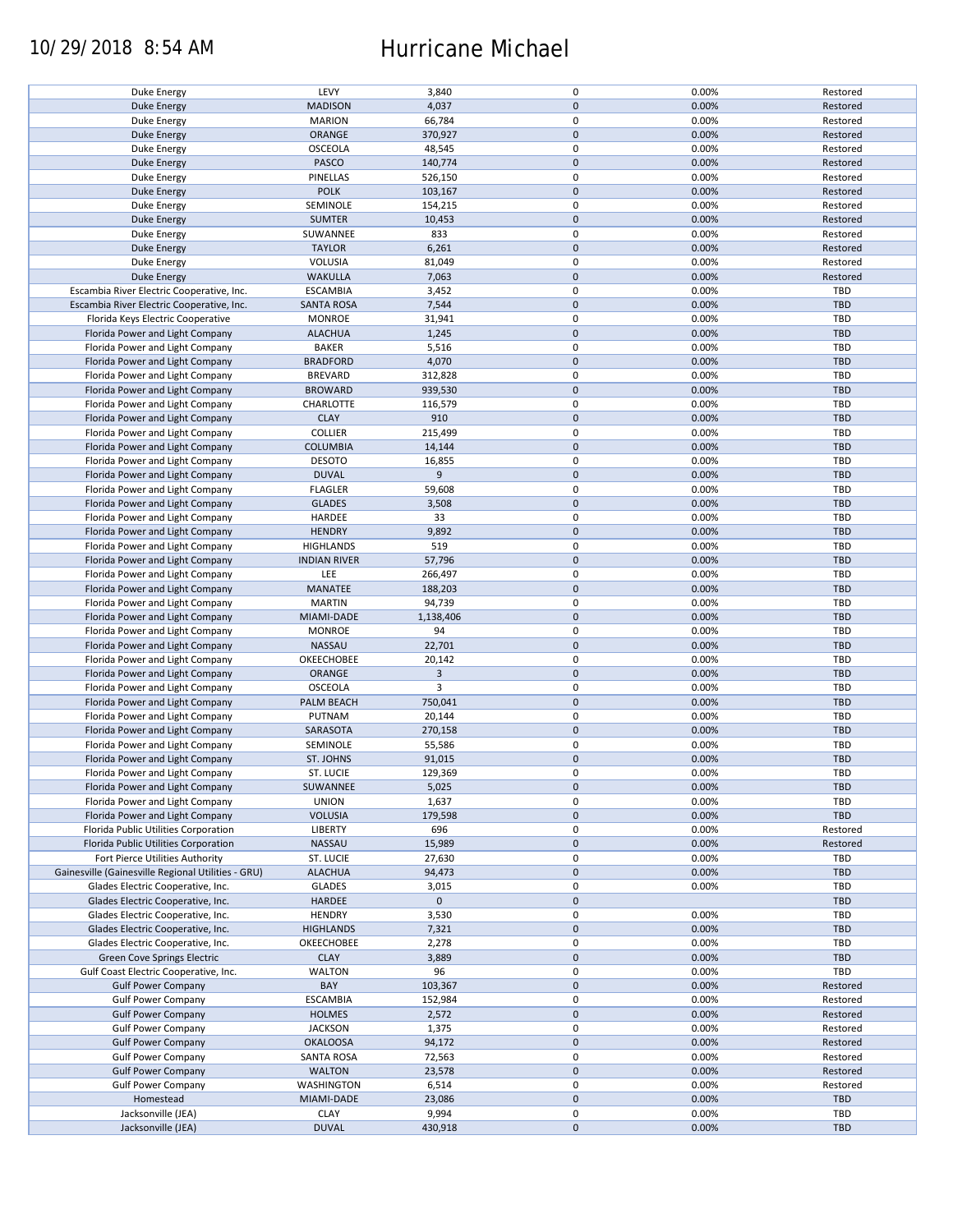## 10/29/2018 8:54 AM Hurricane Michael

| Duke Energy                                        | LEVY                | 3,840       | $\pmb{0}$           | 0.00% | Restored   |
|----------------------------------------------------|---------------------|-------------|---------------------|-------|------------|
| <b>Duke Energy</b>                                 | <b>MADISON</b>      | 4,037       | $\mathbf 0$         | 0.00% | Restored   |
|                                                    |                     |             |                     |       |            |
| Duke Energy                                        | <b>MARION</b>       | 66,784      | 0                   | 0.00% | Restored   |
| <b>Duke Energy</b>                                 | ORANGE              | 370,927     | $\mathbf 0$         | 0.00% | Restored   |
|                                                    |                     |             | $\pmb{0}$           | 0.00% |            |
| Duke Energy                                        | <b>OSCEOLA</b>      | 48,545      |                     |       | Restored   |
| <b>Duke Energy</b>                                 | PASCO               | 140,774     | $\mathbf 0$         | 0.00% | Restored   |
| Duke Energy                                        | PINELLAS            | 526,150     | $\pmb{0}$           | 0.00% | Restored   |
|                                                    |                     |             |                     |       |            |
| <b>Duke Energy</b>                                 | <b>POLK</b>         | 103,167     | $\mathbf 0$         | 0.00% | Restored   |
| Duke Energy                                        | SEMINOLE            | 154,215     | $\pmb{0}$           | 0.00% | Restored   |
| <b>Duke Energy</b>                                 | <b>SUMTER</b>       | 10,453      | $\mathbf 0$         | 0.00% | Restored   |
|                                                    |                     |             |                     |       |            |
| Duke Energy                                        | SUWANNEE            | 833         | $\pmb{0}$           | 0.00% | Restored   |
| <b>Duke Energy</b>                                 | <b>TAYLOR</b>       | 6,261       | $\mathbf 0$         | 0.00% | Restored   |
| Duke Energy                                        | <b>VOLUSIA</b>      | 81,049      | $\pmb{0}$           | 0.00% | Restored   |
|                                                    |                     |             |                     |       |            |
| <b>Duke Energy</b>                                 | <b>WAKULLA</b>      | 7,063       | $\mathbf 0$         | 0.00% | Restored   |
| Escambia River Electric Cooperative, Inc.          | <b>ESCAMBIA</b>     | 3,452       | 0                   | 0.00% | <b>TBD</b> |
| Escambia River Electric Cooperative, Inc.          |                     |             | $\pmb{0}$           | 0.00% | <b>TBD</b> |
|                                                    | <b>SANTA ROSA</b>   | 7,544       |                     |       |            |
| Florida Keys Electric Cooperative                  | <b>MONROE</b>       | 31,941      | 0                   | 0.00% | TBD        |
| Florida Power and Light Company                    | <b>ALACHUA</b>      | 1,245       | $\pmb{0}$           | 0.00% | <b>TBD</b> |
|                                                    |                     |             |                     |       |            |
| Florida Power and Light Company                    | <b>BAKER</b>        | 5,516       | $\pmb{0}$           | 0.00% | <b>TBD</b> |
| Florida Power and Light Company                    | <b>BRADFORD</b>     | 4,070       | $\pmb{0}$           | 0.00% | <b>TBD</b> |
| Florida Power and Light Company                    | <b>BREVARD</b>      | 312,828     | 0                   | 0.00% | <b>TBD</b> |
|                                                    |                     |             |                     |       |            |
| Florida Power and Light Company                    | <b>BROWARD</b>      | 939,530     | $\pmb{0}$           | 0.00% | <b>TBD</b> |
| Florida Power and Light Company                    | CHARLOTTE           | 116,579     | 0                   | 0.00% | <b>TBD</b> |
|                                                    |                     |             | $\pmb{0}$           |       |            |
| Florida Power and Light Company                    | <b>CLAY</b>         | 910         |                     | 0.00% | <b>TBD</b> |
| Florida Power and Light Company                    | <b>COLLIER</b>      | 215,499     | $\pmb{0}$           | 0.00% | <b>TBD</b> |
| Florida Power and Light Company                    | <b>COLUMBIA</b>     | 14,144      | $\pmb{0}$           | 0.00% | <b>TBD</b> |
|                                                    |                     |             |                     |       |            |
| Florida Power and Light Company                    | <b>DESOTO</b>       | 16,855      | $\pmb{0}$           | 0.00% | <b>TBD</b> |
| Florida Power and Light Company                    | <b>DUVAL</b>        | 9           | $\mathsf{O}\xspace$ | 0.00% | <b>TBD</b> |
| Florida Power and Light Company                    | <b>FLAGLER</b>      | 59,608      | $\pmb{0}$           | 0.00% | <b>TBD</b> |
|                                                    |                     |             |                     |       |            |
| Florida Power and Light Company                    | <b>GLADES</b>       | 3,508       | $\mathsf{O}\xspace$ | 0.00% | <b>TBD</b> |
| Florida Power and Light Company                    | HARDEE              | 33          | $\pmb{0}$           | 0.00% | TBD        |
| Florida Power and Light Company                    | <b>HENDRY</b>       | 9,892       | $\pmb{0}$           | 0.00% | <b>TBD</b> |
|                                                    |                     |             |                     |       |            |
| Florida Power and Light Company                    | <b>HIGHLANDS</b>    | 519         | $\pmb{0}$           | 0.00% | <b>TBD</b> |
| Florida Power and Light Company                    | <b>INDIAN RIVER</b> | 57,796      | $\mathbf 0$         | 0.00% | <b>TBD</b> |
|                                                    |                     |             |                     |       |            |
| Florida Power and Light Company                    | LEE                 | 266,497     | 0                   | 0.00% | TBD        |
| Florida Power and Light Company                    | MANATEE             | 188,203     | $\pmb{0}$           | 0.00% | <b>TBD</b> |
| Florida Power and Light Company                    | <b>MARTIN</b>       | 94,739      | 0                   | 0.00% | <b>TBD</b> |
|                                                    | MIAMI-DADE          | 1,138,406   | $\pmb{0}$           | 0.00% | <b>TBD</b> |
| Florida Power and Light Company                    |                     |             |                     |       |            |
| Florida Power and Light Company                    | <b>MONROE</b>       | 94          | 0                   | 0.00% | <b>TBD</b> |
| Florida Power and Light Company                    | <b>NASSAU</b>       | 22,701      | $\mathbf 0$         | 0.00% | <b>TBD</b> |
|                                                    |                     |             |                     |       |            |
| Florida Power and Light Company                    | OKEECHOBEE          | 20,142      | 0                   | 0.00% | <b>TBD</b> |
| Florida Power and Light Company                    | <b>ORANGE</b>       | 3           | $\mathbf 0$         | 0.00% | <b>TBD</b> |
| Florida Power and Light Company                    | <b>OSCEOLA</b>      | 3           | $\pmb{0}$           | 0.00% | <b>TBD</b> |
|                                                    |                     |             |                     |       |            |
| Florida Power and Light Company                    | PALM BEACH          | 750,041     | $\mathbf 0$         | 0.00% | <b>TBD</b> |
| Florida Power and Light Company                    | PUTNAM              | 20,144      | $\pmb{0}$           | 0.00% | TBD        |
| Florida Power and Light Company                    | SARASOTA            | 270,158     | $\mathbf 0$         | 0.00% | <b>TBD</b> |
|                                                    |                     |             |                     |       |            |
| Florida Power and Light Company                    | SEMINOLE            | 55,586      | $\pmb{0}$           | 0.00% | <b>TBD</b> |
| Florida Power and Light Company                    | <b>ST. JOHNS</b>    | 91,015      | $\pmb{0}$           | 0.00% | <b>TBD</b> |
|                                                    |                     |             | $\mathbf 0$         |       |            |
| Florida Power and Light Company                    | ST. LUCIE           | 129,369     |                     | 0.00% | TBD        |
| Florida Power and Light Company                    | SUWANNEE            | 5,025       | $\pmb{0}$           | 0.00% | <b>TBD</b> |
| Florida Power and Light Company                    | <b>UNION</b>        | 1,637       | 0                   | 0.00% | <b>TBD</b> |
|                                                    |                     |             |                     |       |            |
| Florida Power and Light Company                    | <b>VOLUSIA</b>      | 179,598     | $\mathbf 0$         | 0.00% | <b>TBD</b> |
| Florida Public Utilities Corporation               | LIBERTY             | 696         | 0                   | 0.00% | Restored   |
| Florida Public Utilities Corporation               | NASSAU              |             | $\mathsf{O}\xspace$ | 0.00% | Restored   |
|                                                    |                     | 15,989      |                     |       |            |
| Fort Pierce Utilities Authority                    | ST. LUCIE           | 27,630      | 0                   | 0.00% | <b>TBD</b> |
| Gainesville (Gainesville Regional Utilities - GRU) | <b>ALACHUA</b>      | 94,473      | $\mathsf{O}\xspace$ | 0.00% | <b>TBD</b> |
|                                                    |                     |             |                     |       |            |
| Glades Electric Cooperative, Inc.                  | <b>GLADES</b>       | 3,015       | 0                   | 0.00% | <b>TBD</b> |
| Glades Electric Cooperative, Inc.                  | HARDEE              | $\mathbf 0$ | $\mathsf{O}\xspace$ |       | <b>TBD</b> |
| Glades Electric Cooperative, Inc.                  | <b>HENDRY</b>       | 3,530       | 0                   | 0.00% | <b>TBD</b> |
|                                                    |                     |             |                     |       |            |
| Glades Electric Cooperative, Inc.                  | <b>HIGHLANDS</b>    | 7,321       | $\pmb{0}$           | 0.00% | <b>TBD</b> |
| Glades Electric Cooperative, Inc.                  | OKEECHOBEE          | 2,278       | 0                   | 0.00% | <b>TBD</b> |
| Green Cove Springs Electric                        | <b>CLAY</b>         | 3,889       | $\mathsf{O}\xspace$ | 0.00% | <b>TBD</b> |
|                                                    |                     |             |                     |       |            |
| Gulf Coast Electric Cooperative, Inc.              | <b>WALTON</b>       | 96          | 0                   | 0.00% | TBD        |
| <b>Gulf Power Company</b>                          | BAY                 | 103,367     | $\pmb{0}$           | 0.00% | Restored   |
| <b>Gulf Power Company</b>                          | <b>ESCAMBIA</b>     | 152,984     | 0                   | 0.00% | Restored   |
|                                                    |                     |             |                     |       |            |
| <b>Gulf Power Company</b>                          | <b>HOLMES</b>       | 2,572       | $\pmb{0}$           | 0.00% | Restored   |
| <b>Gulf Power Company</b>                          | <b>JACKSON</b>      | 1,375       | 0                   | 0.00% | Restored   |
| <b>Gulf Power Company</b>                          | <b>OKALOOSA</b>     | 94,172      | $\pmb{0}$           | 0.00% | Restored   |
|                                                    |                     |             |                     |       |            |
| <b>Gulf Power Company</b>                          | <b>SANTA ROSA</b>   | 72,563      | $\pmb{0}$           | 0.00% | Restored   |
| <b>Gulf Power Company</b>                          | <b>WALTON</b>       | 23,578      | $\pmb{0}$           | 0.00% | Restored   |
| <b>Gulf Power Company</b>                          | <b>WASHINGTON</b>   | 6,514       | $\mathbf 0$         | 0.00% | Restored   |
|                                                    |                     |             |                     |       |            |
| Homestead                                          | MIAMI-DADE          | 23,086      | $\pmb{0}$           | 0.00% | <b>TBD</b> |
| Jacksonville (JEA)                                 | <b>CLAY</b>         | 9,994       | 0                   | 0.00% | <b>TBD</b> |
| Jacksonville (JEA)                                 | <b>DUVAL</b>        | 430,918     | $\pmb{0}$           | 0.00% | <b>TBD</b> |
|                                                    |                     |             |                     |       |            |